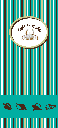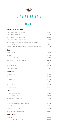



#### **Waters & Softdrinks**

| Bottle of still or sparkling water 0,5 L                                          | 3,00 €   |
|-----------------------------------------------------------------------------------|----------|
| Bottle of still watter 0.75 L                                                     | 4.50 €   |
| Plastic Bottle of still water 1.5 L                                               | 5,00 €   |
| San Pellegrino Sparkling water bottle                                             | 3.50 €   |
| Softdrinks: Coke, Fanta orange, Fanta lemon, Coke light,<br>Coke zero, 7up, tonic | 3,70 €   |
| Isotonic drinks: Appletiser, Ginger Ale, Nestea and Aquarius                      | 3,70 €   |
| <b>Beers</b>                                                                      |          |
| Draft Beer (30 cl)                                                                | 3.60€    |
| Jar (45 cl)                                                                       | 4.70€    |
| Kopparberg Strawberry & Lima                                                      | 4.50€    |
| Beer can with or without alcohol                                                  | 4,00 €   |
| Bottle Heineken                                                                   | 4,75 €   |
| <b>Bottle Coronita</b>                                                            | 4,50 €   |
| Bottle San Miguel                                                                 | 4.60€    |
| <b>Sangrías</b>                                                                   |          |
| Glass Sangría                                                                     | 6,90€    |
| $\frac{1}{2}$ L of sangría                                                        | 12,40 €  |
| 1 L of sangría                                                                    | 22,25 €  |
| Glass of cava sangría                                                             | 9,55 €   |
| 1/2 L of cava sangría                                                             | 18,90 €  |
| 1 L of cava sangría                                                               | 27.50 €  |
| Cavas                                                                             |          |
| Glass Cava Brut or Rosé                                                           | 6,90€    |
| Agustí Torelló Brut                                                               | 23,00 €  |
| Santa Digna Estelado Rosé                                                         | 25,50 €  |
| Champagnes                                                                        |          |
| Glass Champagne Lanson Brut ó Rosé                                                | 16,50 €  |
| Lanson Brut or Rosé                                                               | 79,50 €  |
| Taittinger Brut Réserve                                                           | 85,50€   |
| Taittinger Brut Préstige Rosé                                                     | 102.75 € |

### **White Wine**

| Glass wine                           | $5.00 \in$ |
|--------------------------------------|------------|
| Saaret afrutado Blanco D.O. La Palma | 28,00 €    |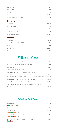| El Lomo Seco                      | 24.50 € |
|-----------------------------------|---------|
| San Valentín                      | 19,25 € |
| Viña Sol                          | 21,55 € |
| 1/2 Viña Sol                      | 13,25 € |
| Santa Digna Sauvignon Blanc       | 23,50 € |
| <b>Rosé Wine</b>                  |         |
| Glass wine                        | 5,00€   |
| Lo Cartas Rosado                  | 19,50 € |
| Torres de Casta                   | 19,50 € |
| 1/2 Torres de Casta               | 12.50 € |
| Marqués de Cáceres                | 21,00 € |
| <b>Red Wine</b>                   |         |
| Glass wine                        | 5,00€   |
| Saaret Cuvee Tinto D.O. El Hierro | 22,50 € |
| Montecillo Crianza                | 25,55 € |
| Ibéricos Crianza                  | 22,55 € |
| 1/2 Ibéricos Crianza              | 14.95 € |

# Coffees & Infusions

| Expresso black coffee or with milk                                                                 | 2,95 € |
|----------------------------------------------------------------------------------------------------|--------|
| Coffee with milk or coffee without caffeine                                                        | 3.25 € |
| Teas and infusions                                                                                 | 3.20€  |
| Capuccino, viennese, chocolat                                                                      | 3.40€  |
| Café Barraquito: express coffee, milk, condensed milk,<br>small piece of lemon peel and Liqueur 43 | 3.85 € |
| Ice-cream coffee: express coffee, vainilla ice-cream and cream                                     | 5.80€  |
| <b>Canary coffee:</b> express coffee, honey rum, cane sugar and cream                              | 5.80€  |
| <b>Irish coffee:</b> express coffee, irish whisky, cane sugar and cream                            | 5.80€  |
| Café Calipso: express coffee, Tía María liqueur, cane sugar<br>and cream                           | 5.80 € |

# Starters And Soups

| Prawns cocktail<br>8886800                                                                    | 12.90 € |
|-----------------------------------------------------------------------------------------------|---------|
| Melon with iberian ham                                                                        | 13.80 € |
| Salmon tartar<br>00600000                                                                     | 15.90 € |
| Bread with iberian ham and tomato<br>00000000                                                 | 9.90 €  |
| Spring rolls with sweet and sour sauce (5 pieces)<br>$\boldsymbol{v}$ . $\boldsymbol{\omega}$ | 10.20€  |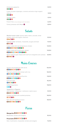| Andalusian gazpacho<br>0000                                                      | 5.50€  |
|----------------------------------------------------------------------------------|--------|
| Cream of green asparagus, croutons and extra virgin organic<br>olive oil<br>0000 | 7.20€  |
| Tomato cream<br>0000                                                             | 6.10 € |
| French fries (consult allergens with the maitre)                                 | 4.20€  |
| Canary potatoes with Mojos                                                       | 4.80€  |

### Salads

| Mediterranean salad: quinoa, beets, beans, avocado, dried<br>tomato, onion and organic mesclum<br>06000 | 12.10 € |
|---------------------------------------------------------------------------------------------------------|---------|
| Caprese salad: tomatoes, mozzarella, arugula and basil<br>0000                                          | 11.10 € |
| Caesar salad with low temperature chicken<br>00000600000                                                | 13.90 € |
| Caesar salad with king prawns skewer<br>0000006000000                                                   | 13.90 € |
| Warm salad of goat cheese with red fruit vinaigrette and cashews <b>12,90 €</b><br>00000                |         |

# Mains Courses

| Squid to the Andalusian with ali-oli              | 10,40 € |
|---------------------------------------------------|---------|
| 000000000                                         |         |
| Thai Curry shrimp and chicken with rice           | 16,00 € |
| 000600000                                         |         |
| Linguine with prawns and Zucchini                 | 13,60 € |
| 000000000                                         |         |
| Fish and chips                                    | 16.20€  |
| 000000                                            |         |
| Grilled king prawns                               | 19,80 € |
| 000                                               |         |
| Spaguettis or Rigatoni                            |         |
| with tomato / bolognese / carbonara / pesto sauce | 12,10 € |
| 00000000                                          |         |
| Chicken escalope with sautéed potatoes            | 16.80 € |
| 00000                                             |         |
| Pork ribs with barbecue sauce                     | 18,50 € |
| 000060000                                         |         |

### Pizzas

### Margarita<sup>O@@@@@@</sup>

Mozzarella, tomato and oregano **10,10 €**

### Prosciutto **0000000**

Ham, mushrooms, mozzarella, tomato and oregano **11,25 €**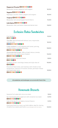| Pepperoni Picante 00000000                         |         |
|----------------------------------------------------|---------|
| Mozzarella, tomato, pepperoni and oregano          | 10.70 € |
| Vegetal 00000000                                   |         |
| Asparagus, zucchini, onions, peppers and oregano   | 10.10 € |
| Tropical 00000000                                  |         |
| Mozzarella, ham and pineapple from El Hierro       | 11.30 € |
| Café Bahía 00000000                                |         |
| Mozzarella, roket, parmesan cheese and iberian ham | 13.80 € |

# Exclusive Bahía Sandwiches

| Club Sandwich<br>000000                                                                                                                                      | 11,50 € |
|--------------------------------------------------------------------------------------------------------------------------------------------------------------|---------|
| Tuna Roll: Special bread with lettuce, tuna, mayonnaise<br>and red onion<br>00000600000                                                                      | 10,10 € |
| Cuban sandwich: crusty baguette with butter, pork leg,<br>smoked cheese, mustard and pickles<br>0000600000                                                   | 10,80 € |
| Homemade beef burger: 200 g of beef, lettuce, tomato,<br>fried onions and cheese sauce chedard<br>0000600000                                                 | 13,40 € |
| Mixed sandwich ham and cheese<br>000000                                                                                                                      | 9.90€   |
| Sandwich of ham, manchego cheese and virgin olive oil<br>00000                                                                                               | 10,90 € |
| Foccacia of black olives, and rosemary with chicken at low<br>temperature, mezclum of mustard, tomato, parmesan cheese<br>and mayonnaise sauce<br>0000600000 | 12.90 € |

**All sandwiches and hamburgers are served with French fries** 

## Homemade Desserts

| Seasonal fruit salad with citrus ice-cream                                                                                              | 7,00 €  |
|-----------------------------------------------------------------------------------------------------------------------------------------|---------|
| Our homemade pastry apple tart with cinnamon ice-cream<br>000000000                                                                     | 6.70€   |
| Cake of the day for our bakery (consult flavors)<br>000000000                                                                           | 5.70€   |
| Great gourmand ice-cream cup Café la Bahía, ideal for sharing<br>(5 balls of ice creams and fruits) (consult allergens with the maitre) | 14.50 € |